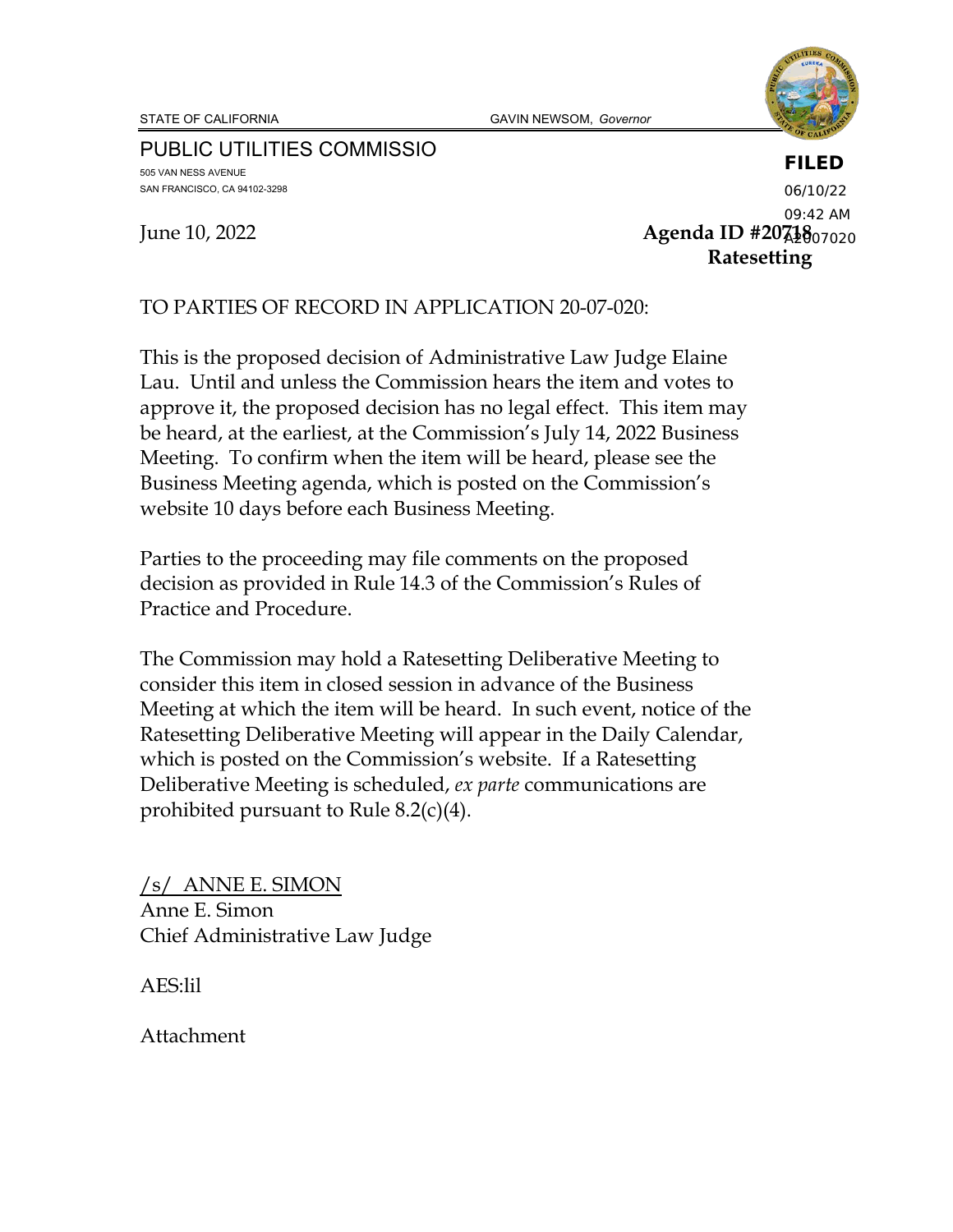STATE OF CALIFORNIA **GAVIN NEWSOM**, Governor



PUBLIC UTILITIES COMMISSIO 505 VAN NESS AVENUE SAN FRANCISCO, CA 94102-3298

June 10, 2022 **Agenda ID #20718**  A2007020**Ratesetting FILED** 06/10/22 09:42 AM

TO PARTIES OF RECORD IN APPLICATION 20-07-020:

This is the proposed decision of Administrative Law Judge Elaine Lau. Until and unless the Commission hears the item and votes to approve it, the proposed decision has no legal effect. This item may be heard, at the earliest, at the Commission's July 14, 2022 Business Meeting. To confirm when the item will be heard, please see the Business Meeting agenda, which is posted on the Commission's website 10 days before each Business Meeting.

Parties to the proceeding may file comments on the proposed decision as provided in Rule 14.3 of the Commission's Rules of Practice and Procedure.

The Commission may hold a Ratesetting Deliberative Meeting to consider this item in closed session in advance of the Business Meeting at which the item will be heard. In such event, notice of the Ratesetting Deliberative Meeting will appear in the Daily Calendar, which is posted on the Commission's website. If a Ratesetting Deliberative Meeting is scheduled, *ex parte* communications are prohibited pursuant to Rule 8.2(c)(4).

/s/ ANNE E. SIMON Anne E. Simon Chief Administrative Law Judge

AES:lil

Attachment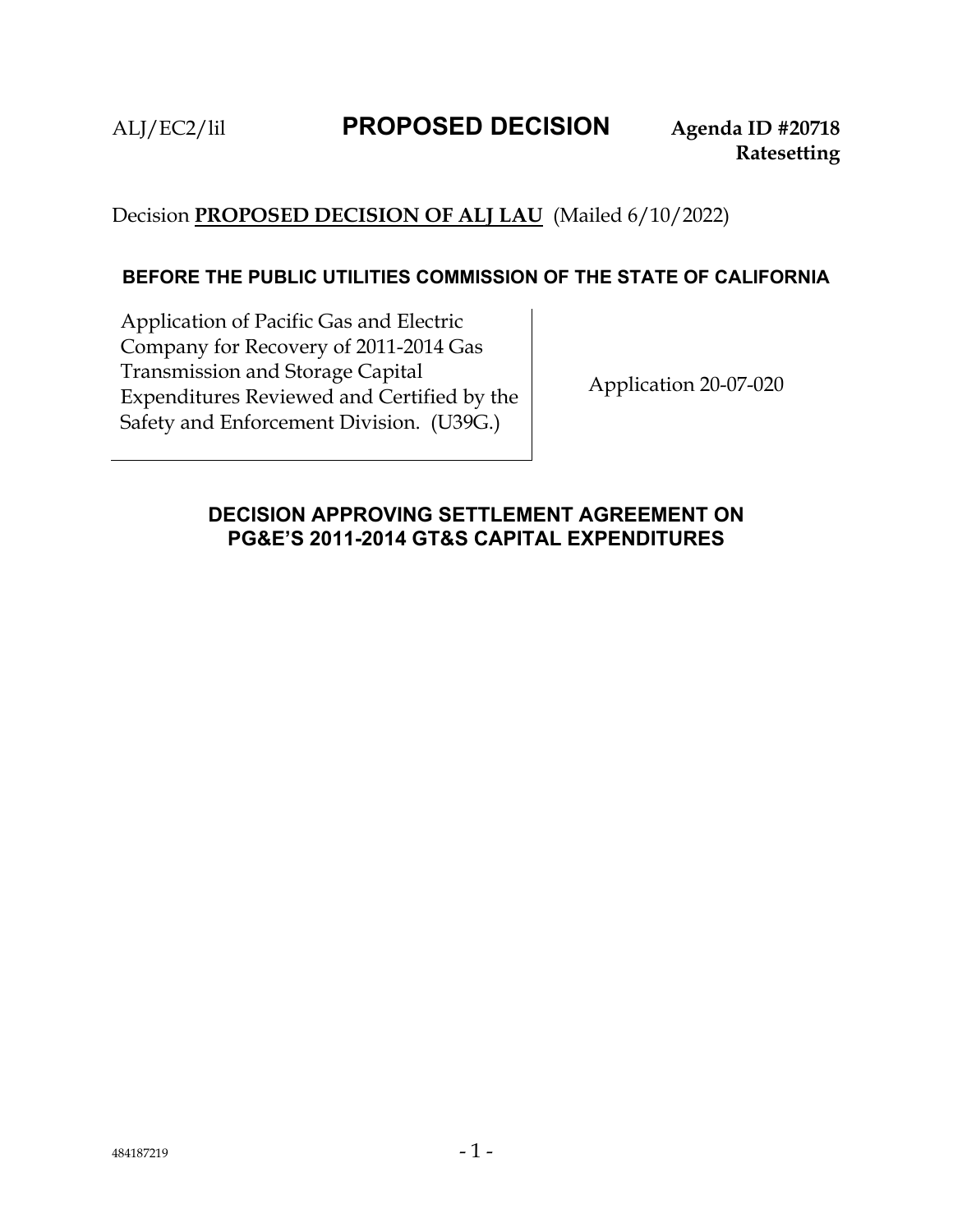# Decision **PROPOSED DECISION OF ALJ LAU** (Mailed 6/10/2022)

#### **BEFORE THE PUBLIC UTILITIES COMMISSION OF THE STATE OF CALIFORNIA**

Application of Pacific Gas and Electric Company for Recovery of 2011-2014 Gas Transmission and Storage Capital Expenditures Reviewed and Certified by the Safety and Enforcement Division. (U39G.)

Application 20-07-020

#### **DECISION APPROVING SETTLEMENT AGREEMENT ON PG&E'S 2011-2014 GT&S CAPITAL EXPENDITURES**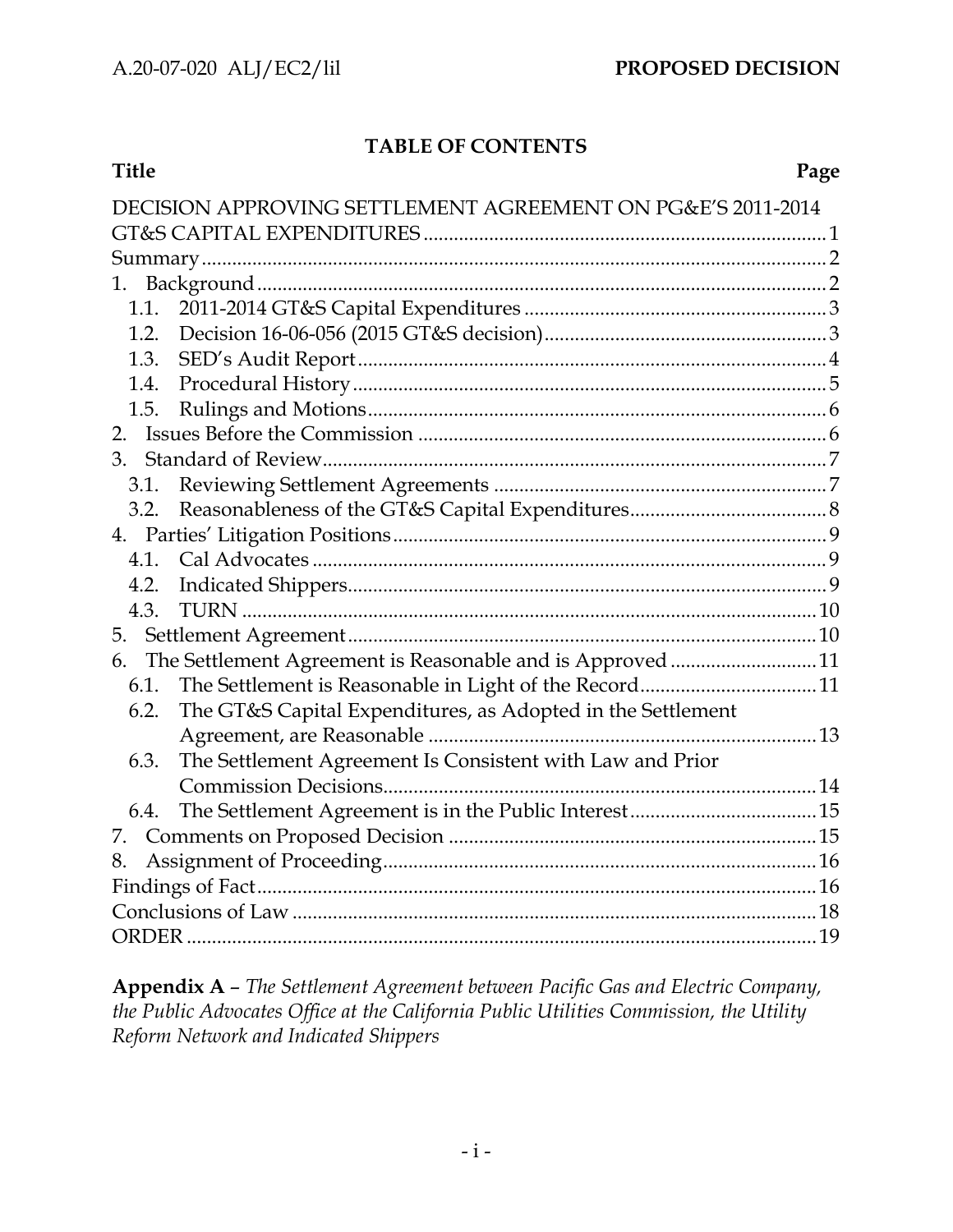### **TABLE OF CONTENTS**

| Title                                                               | Page |
|---------------------------------------------------------------------|------|
| DECISION APPROVING SETTLEMENT AGREEMENT ON PG&E'S 2011-2014         |      |
|                                                                     |      |
|                                                                     |      |
| 1.                                                                  |      |
|                                                                     |      |
| 1.2.                                                                |      |
|                                                                     |      |
| 1.4.                                                                |      |
| 1.5.                                                                |      |
| 2.                                                                  |      |
| 3.                                                                  |      |
| 3.1.                                                                |      |
| 3.2.                                                                |      |
|                                                                     |      |
|                                                                     |      |
| 4.2.                                                                |      |
| 4.3.                                                                |      |
|                                                                     |      |
| The Settlement Agreement is Reasonable and is Approved 11<br>6.     |      |
|                                                                     |      |
| The GT&S Capital Expenditures, as Adopted in the Settlement<br>6.2. |      |
|                                                                     |      |
| The Settlement Agreement Is Consistent with Law and Prior<br>6.3.   |      |
|                                                                     |      |
| 6.4.                                                                |      |
|                                                                     |      |
| 8.                                                                  |      |
|                                                                     |      |
|                                                                     |      |
|                                                                     |      |

**Appendix A** – *The Settlement Agreement between Pacific Gas and Electric Company, the Public Advocates Office at the California Public Utilities Commission, the Utility Reform Network and Indicated Shippers*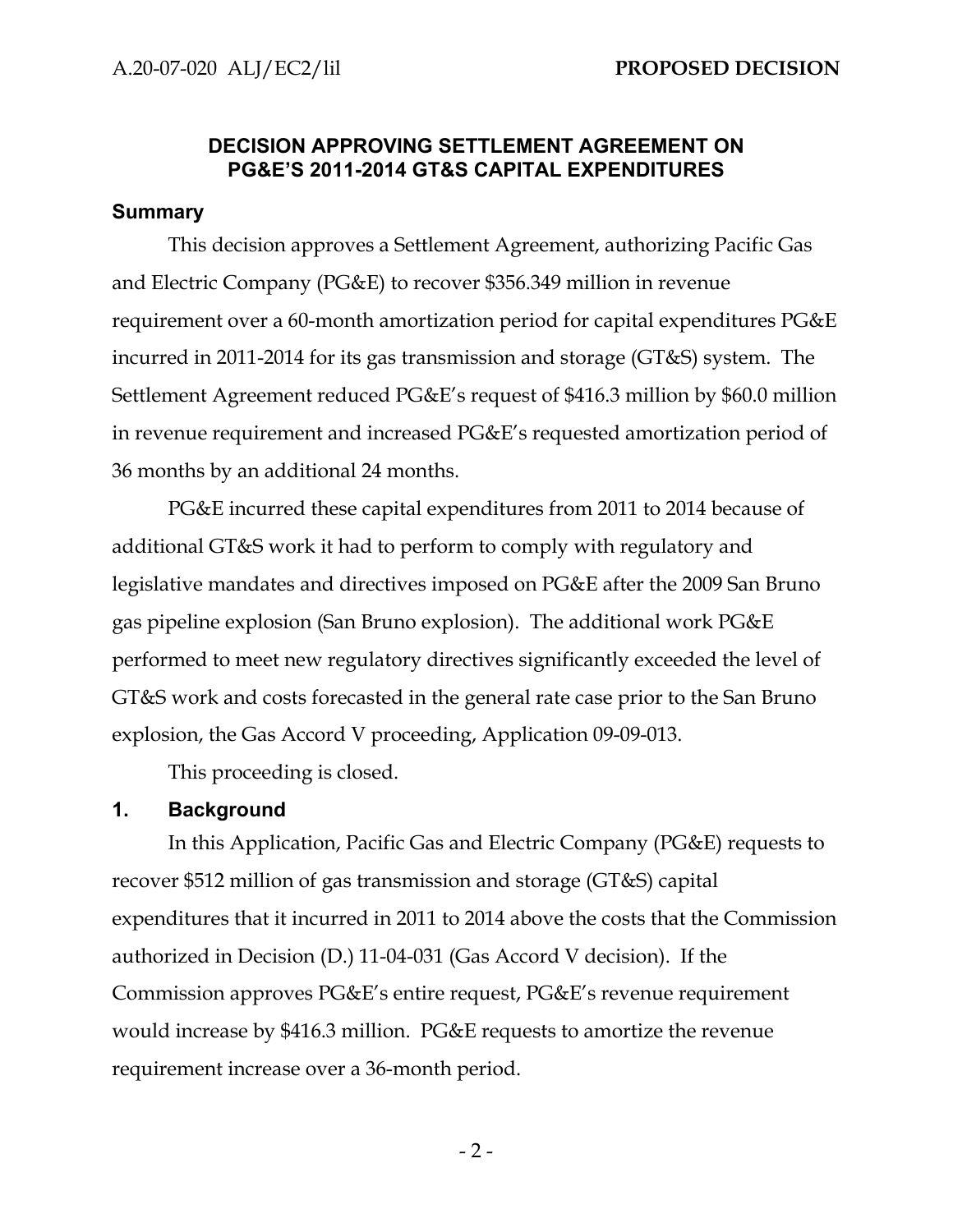#### **DECISION APPROVING SETTLEMENT AGREEMENT ON PG&E'S 2011-2014 GT&S CAPITAL EXPENDITURES**

#### **Summary**

This decision approves a Settlement Agreement, authorizing Pacific Gas and Electric Company (PG&E) to recover \$356.349 million in revenue requirement over a 60-month amortization period for capital expenditures PG&E incurred in 2011-2014 for its gas transmission and storage (GT&S) system. The Settlement Agreement reduced PG&E's request of \$416.3 million by \$60.0 million in revenue requirement and increased PG&E's requested amortization period of 36 months by an additional 24 months.

PG&E incurred these capital expenditures from 2011 to 2014 because of additional GT&S work it had to perform to comply with regulatory and legislative mandates and directives imposed on PG&E after the 2009 San Bruno gas pipeline explosion (San Bruno explosion). The additional work PG&E performed to meet new regulatory directives significantly exceeded the level of GT&S work and costs forecasted in the general rate case prior to the San Bruno explosion, the Gas Accord V proceeding, Application 09-09-013.

This proceeding is closed.

#### **1. Background**

In this Application, Pacific Gas and Electric Company (PG&E) requests to recover \$512 million of gas transmission and storage (GT&S) capital expenditures that it incurred in 2011 to 2014 above the costs that the Commission authorized in Decision (D.) 11-04-031 (Gas Accord V decision). If the Commission approves PG&E's entire request, PG&E's revenue requirement would increase by \$416.3 million. PG&E requests to amortize the revenue requirement increase over a 36-month period.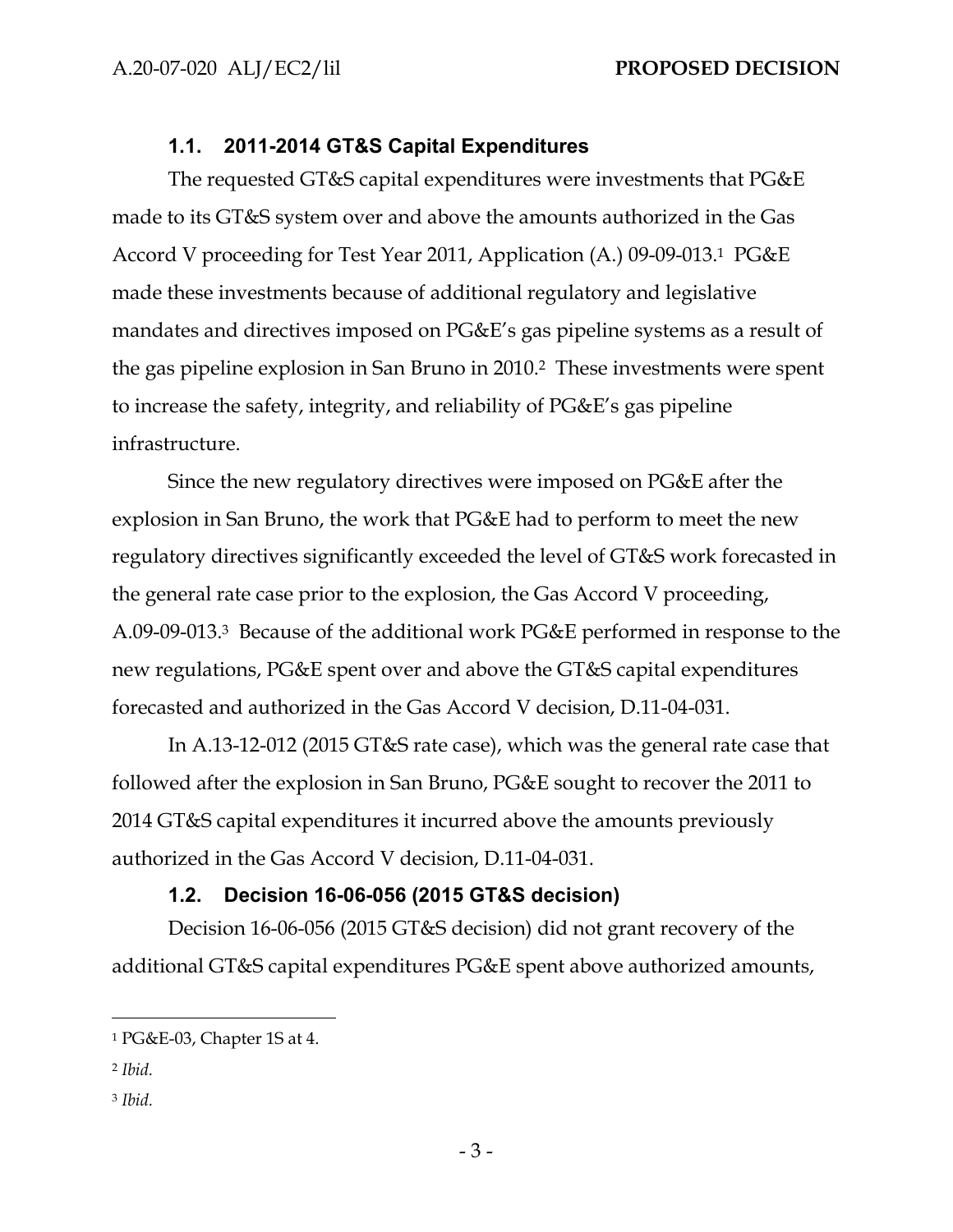## **1.1. 2011-2014 GT&S Capital Expenditures**

The requested GT&S capital expenditures were investments that PG&E made to its GT&S system over and above the amounts authorized in the Gas Accord V proceeding for Test Year 2011, Application (A.) 09-09-013.1 PG&E made these investments because of additional regulatory and legislative mandates and directives imposed on PG&E's gas pipeline systems as a result of the gas pipeline explosion in San Bruno in 2010.2 These investments were spent to increase the safety, integrity, and reliability of PG&E's gas pipeline infrastructure.

Since the new regulatory directives were imposed on PG&E after the explosion in San Bruno, the work that PG&E had to perform to meet the new regulatory directives significantly exceeded the level of GT&S work forecasted in the general rate case prior to the explosion, the Gas Accord V proceeding, A.09-09-013.3 Because of the additional work PG&E performed in response to the new regulations, PG&E spent over and above the GT&S capital expenditures forecasted and authorized in the Gas Accord V decision, D.11-04-031.

In A.13-12-012 (2015 GT&S rate case), which was the general rate case that followed after the explosion in San Bruno, PG&E sought to recover the 2011 to 2014 GT&S capital expenditures it incurred above the amounts previously authorized in the Gas Accord V decision, D.11-04-031.

## **1.2. Decision 16-06-056 (2015 GT&S decision)**

Decision 16-06-056 (2015 GT&S decision) did not grant recovery of the additional GT&S capital expenditures PG&E spent above authorized amounts,

- <sup>2</sup> *Ibid.*
- <sup>3</sup> *Ibid.*

<sup>1</sup> PG&E-03, Chapter 1S at 4.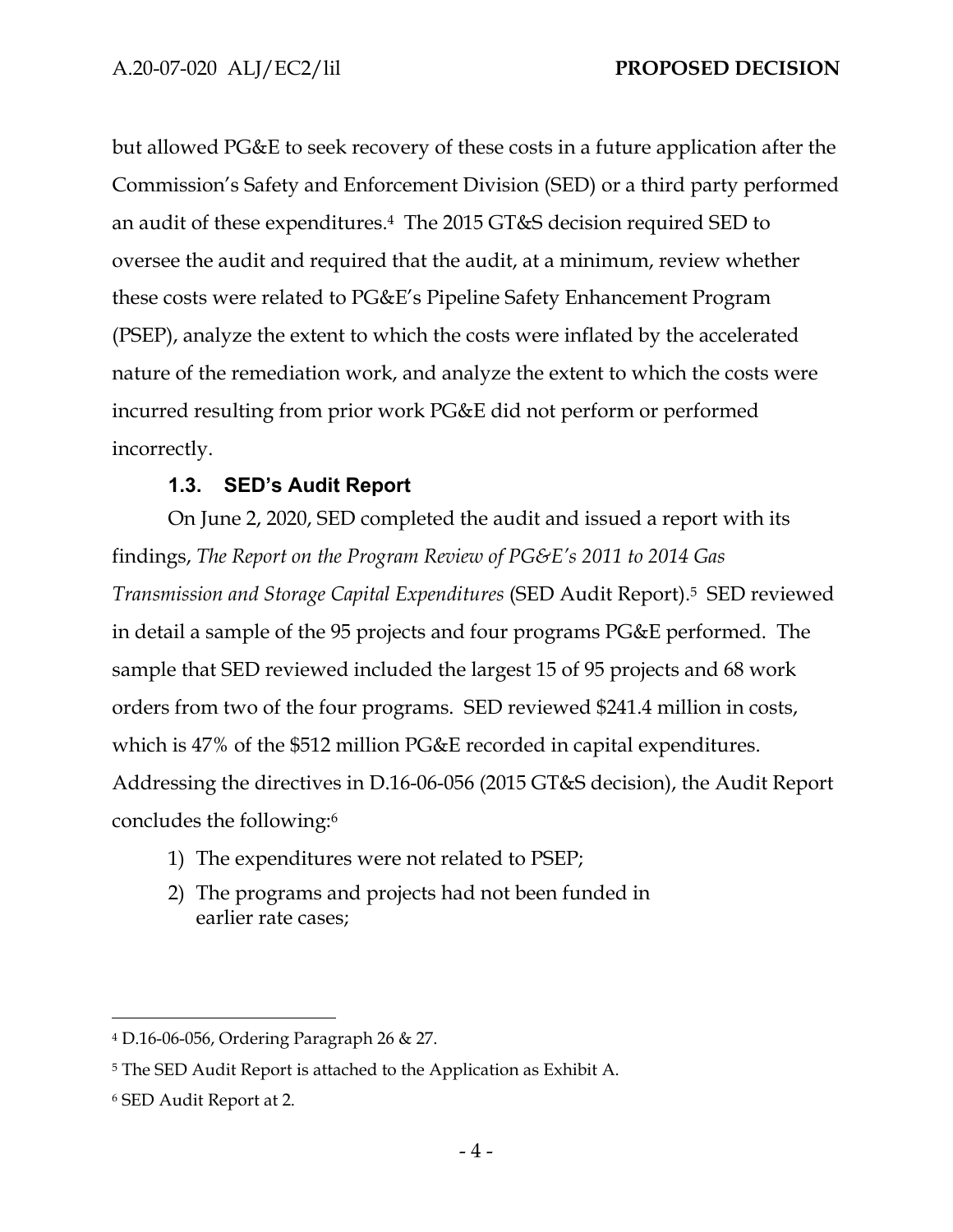but allowed PG&E to seek recovery of these costs in a future application after the Commission's Safety and Enforcement Division (SED) or a third party performed an audit of these expenditures.4 The 2015 GT&S decision required SED to oversee the audit and required that the audit, at a minimum, review whether these costs were related to PG&E's Pipeline Safety Enhancement Program (PSEP), analyze the extent to which the costs were inflated by the accelerated nature of the remediation work, and analyze the extent to which the costs were incurred resulting from prior work PG&E did not perform or performed incorrectly.

## **1.3. SED's Audit Report**

On June 2, 2020, SED completed the audit and issued a report with its findings, *The Report on the Program Review of PG&E's 2011 to 2014 Gas Transmission and Storage Capital Expenditures* (SED Audit Report).5 SED reviewed in detail a sample of the 95 projects and four programs PG&E performed. The sample that SED reviewed included the largest 15 of 95 projects and 68 work orders from two of the four programs. SED reviewed \$241.4 million in costs, which is 47% of the \$512 million PG&E recorded in capital expenditures. Addressing the directives in D.16-06-056 (2015 GT&S decision), the Audit Report concludes the following:6

- 1) The expenditures were not related to PSEP;
- 2) The programs and projects had not been funded in earlier rate cases;

<sup>4</sup> D.16-06-056, Ordering Paragraph 26 & 27.

<sup>5</sup> The SED Audit Report is attached to the Application as Exhibit A.

<sup>6</sup> SED Audit Report at 2.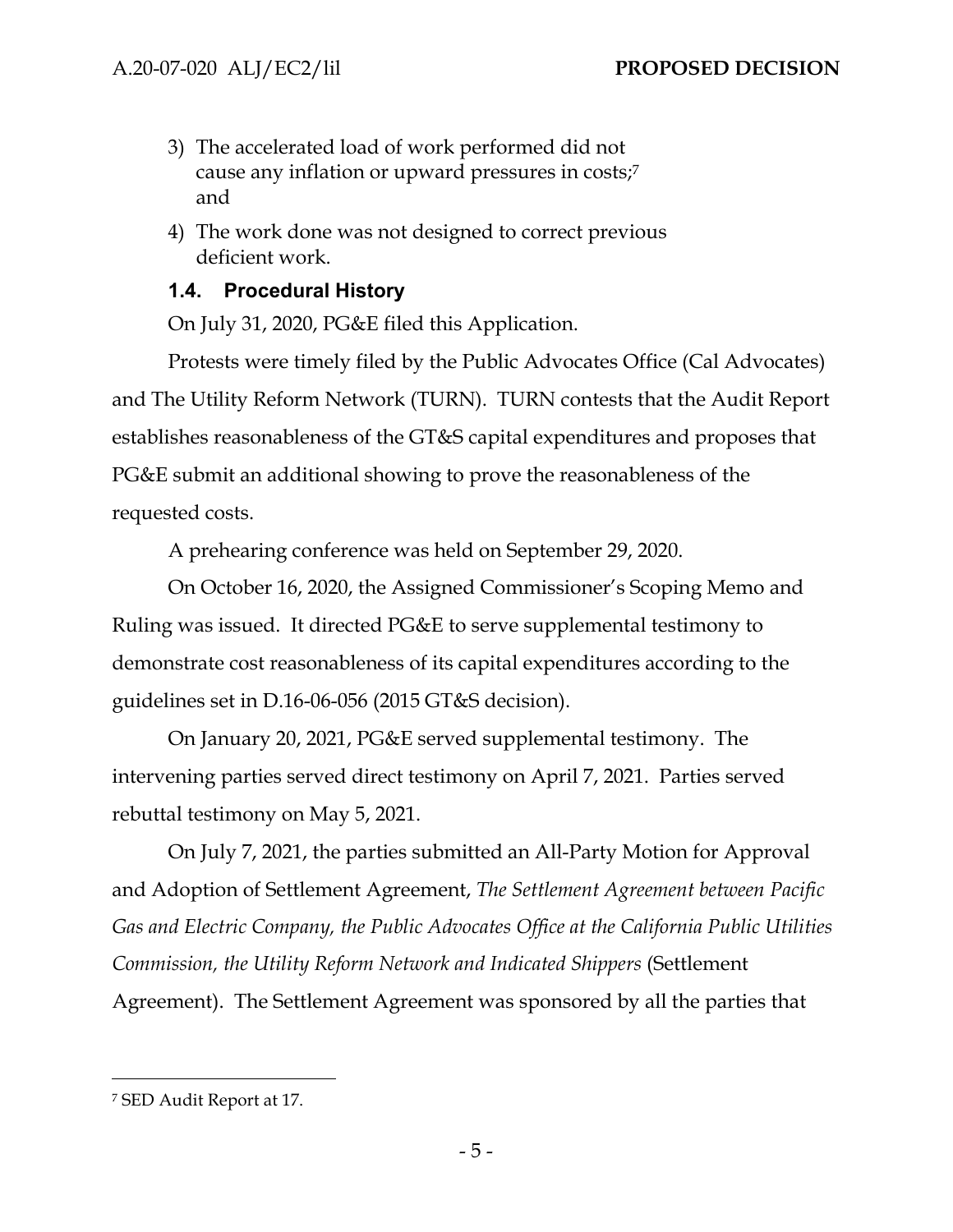- 3) The accelerated load of work performed did not cause any inflation or upward pressures in costs;7 and
- 4) The work done was not designed to correct previous deficient work.

### **1.4. Procedural History**

On July 31, 2020, PG&E filed this Application.

Protests were timely filed by the Public Advocates Office (Cal Advocates) and The Utility Reform Network (TURN). TURN contests that the Audit Report establishes reasonableness of the GT&S capital expenditures and proposes that PG&E submit an additional showing to prove the reasonableness of the requested costs.

A prehearing conference was held on September 29, 2020.

On October 16, 2020, the Assigned Commissioner's Scoping Memo and Ruling was issued. It directed PG&E to serve supplemental testimony to demonstrate cost reasonableness of its capital expenditures according to the guidelines set in D.16-06-056 (2015 GT&S decision).

On January 20, 2021, PG&E served supplemental testimony. The intervening parties served direct testimony on April 7, 2021. Parties served rebuttal testimony on May 5, 2021.

On July 7, 2021, the parties submitted an All-Party Motion for Approval and Adoption of Settlement Agreement, *The Settlement Agreement between Pacific Gas and Electric Company, the Public Advocates Office at the California Public Utilities Commission, the Utility Reform Network and Indicated Shippers* (Settlement Agreement). The Settlement Agreement was sponsored by all the parties that

<sup>7</sup> SED Audit Report at 17.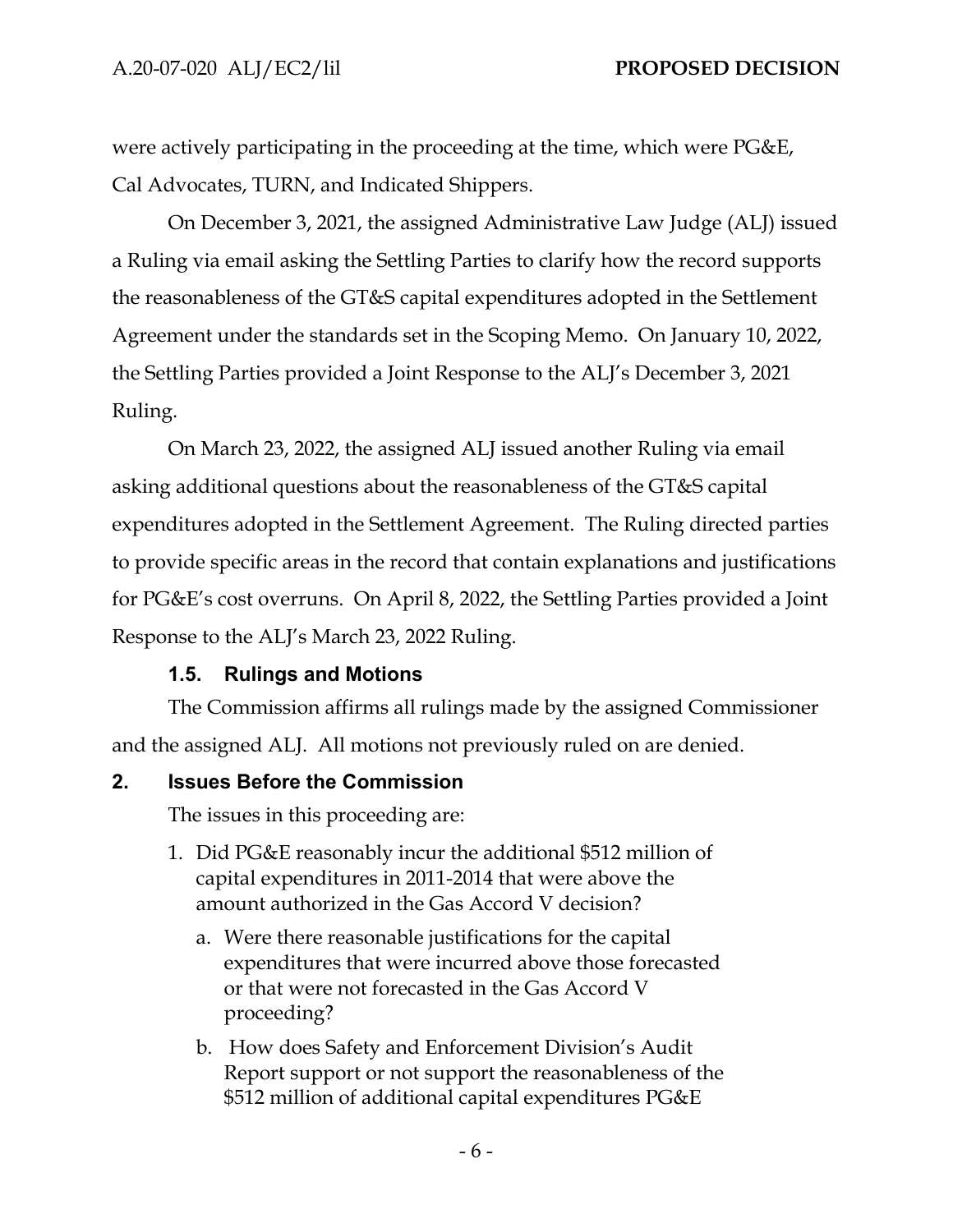were actively participating in the proceeding at the time, which were PG&E, Cal Advocates, TURN, and Indicated Shippers.

On December 3, 2021, the assigned Administrative Law Judge (ALJ) issued a Ruling via email asking the Settling Parties to clarify how the record supports the reasonableness of the GT&S capital expenditures adopted in the Settlement Agreement under the standards set in the Scoping Memo. On January 10, 2022, the Settling Parties provided a Joint Response to the ALJ's December 3, 2021 Ruling.

On March 23, 2022, the assigned ALJ issued another Ruling via email asking additional questions about the reasonableness of the GT&S capital expenditures adopted in the Settlement Agreement. The Ruling directed parties to provide specific areas in the record that contain explanations and justifications for PG&E's cost overruns. On April 8, 2022, the Settling Parties provided a Joint Response to the ALJ's March 23, 2022 Ruling.

## **1.5. Rulings and Motions**

The Commission affirms all rulings made by the assigned Commissioner and the assigned ALJ. All motions not previously ruled on are denied.

#### **2. Issues Before the Commission**

The issues in this proceeding are:

- 1. Did PG&E reasonably incur the additional \$512 million of capital expenditures in 2011-2014 that were above the amount authorized in the Gas Accord V decision?
	- a. Were there reasonable justifications for the capital expenditures that were incurred above those forecasted or that were not forecasted in the Gas Accord V proceeding?
	- b. How does Safety and Enforcement Division's Audit Report support or not support the reasonableness of the \$512 million of additional capital expenditures PG&E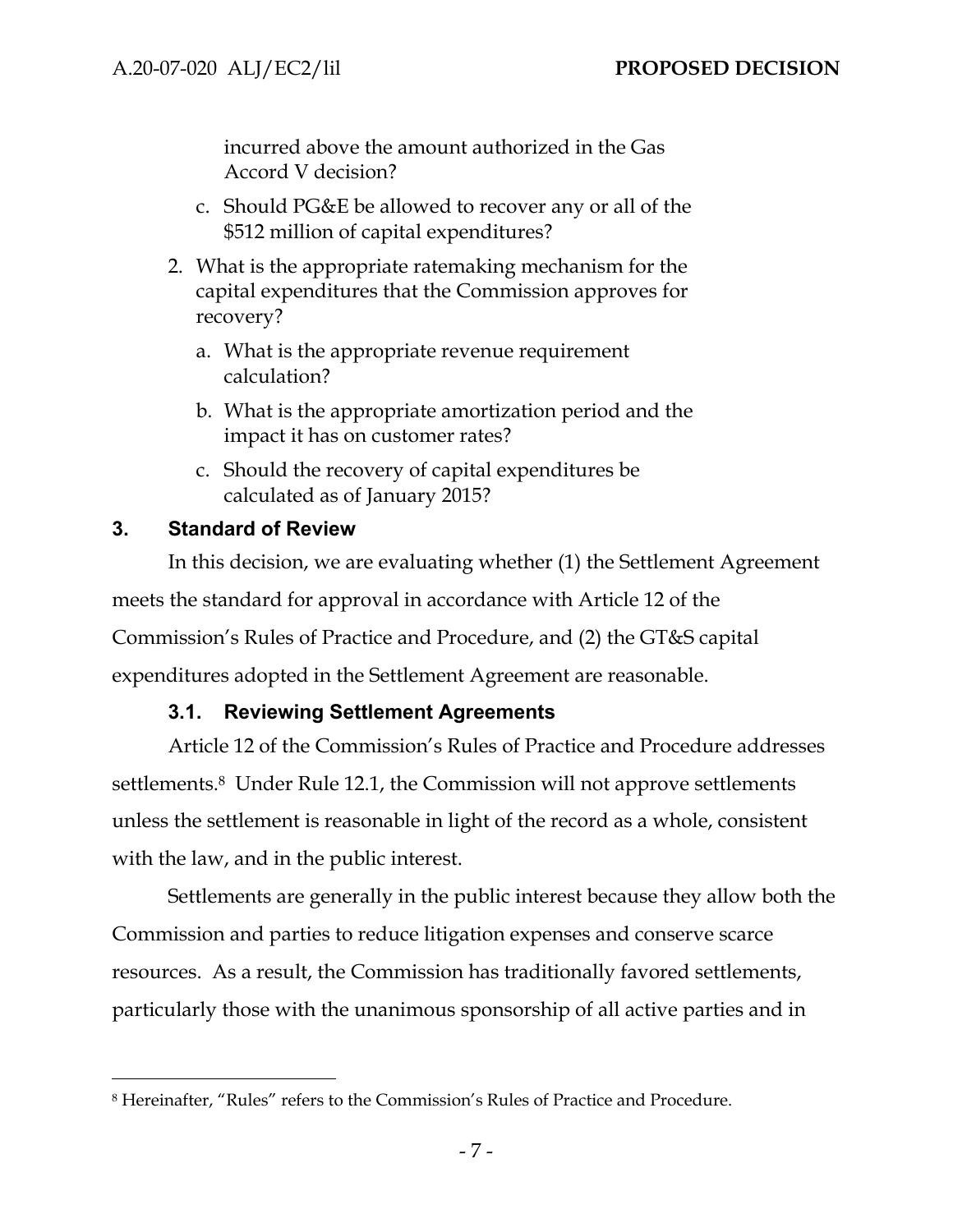incurred above the amount authorized in the Gas Accord V decision?

- c. Should PG&E be allowed to recover any or all of the \$512 million of capital expenditures?
- 2. What is the appropriate ratemaking mechanism for the capital expenditures that the Commission approves for recovery?
	- a. What is the appropriate revenue requirement calculation?
	- b. What is the appropriate amortization period and the impact it has on customer rates?
	- c. Should the recovery of capital expenditures be calculated as of January 2015?

### **3. Standard of Review**

In this decision, we are evaluating whether (1) the Settlement Agreement meets the standard for approval in accordance with Article 12 of the Commission's Rules of Practice and Procedure, and (2) the GT&S capital expenditures adopted in the Settlement Agreement are reasonable.

## **3.1. Reviewing Settlement Agreements**

Article 12 of the Commission's Rules of Practice and Procedure addresses settlements.8 Under Rule 12.1, the Commission will not approve settlements unless the settlement is reasonable in light of the record as a whole, consistent with the law, and in the public interest.

Settlements are generally in the public interest because they allow both the Commission and parties to reduce litigation expenses and conserve scarce resources. As a result, the Commission has traditionally favored settlements, particularly those with the unanimous sponsorship of all active parties and in

<sup>8</sup> Hereinafter, "Rules" refers to the Commission's Rules of Practice and Procedure.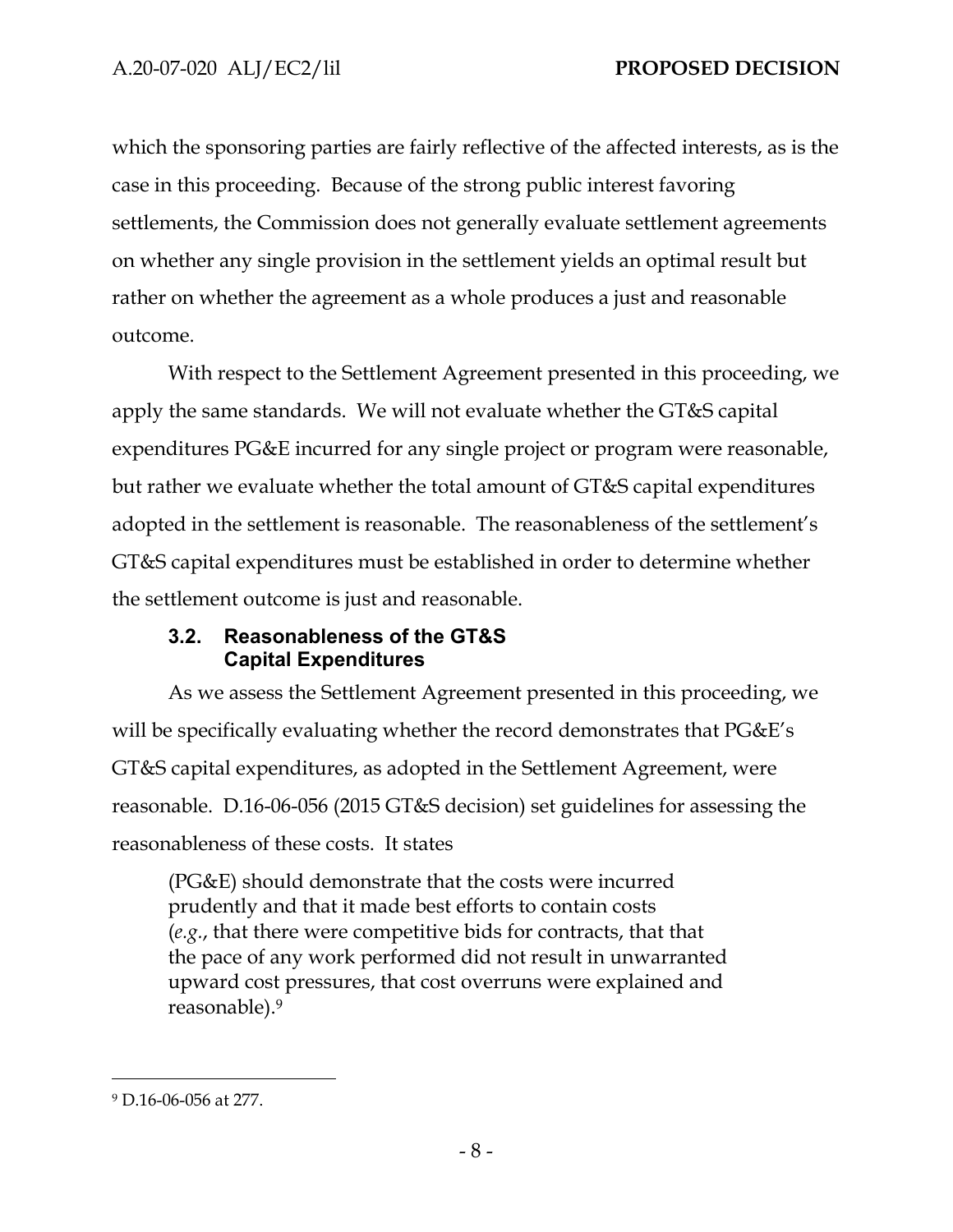which the sponsoring parties are fairly reflective of the affected interests, as is the case in this proceeding. Because of the strong public interest favoring settlements, the Commission does not generally evaluate settlement agreements on whether any single provision in the settlement yields an optimal result but rather on whether the agreement as a whole produces a just and reasonable outcome.

With respect to the Settlement Agreement presented in this proceeding, we apply the same standards. We will not evaluate whether the GT&S capital expenditures PG&E incurred for any single project or program were reasonable, but rather we evaluate whether the total amount of GT&S capital expenditures adopted in the settlement is reasonable. The reasonableness of the settlement's GT&S capital expenditures must be established in order to determine whether the settlement outcome is just and reasonable.

## **3.2. Reasonableness of the GT&S Capital Expenditures**

As we assess the Settlement Agreement presented in this proceeding, we will be specifically evaluating whether the record demonstrates that PG&E's GT&S capital expenditures, as adopted in the Settlement Agreement, were reasonable. D.16-06-056 (2015 GT&S decision) set guidelines for assessing the reasonableness of these costs. It states

(PG&E) should demonstrate that the costs were incurred prudently and that it made best efforts to contain costs (*e.g.*, that there were competitive bids for contracts, that that the pace of any work performed did not result in unwarranted upward cost pressures, that cost overruns were explained and reasonable).9

<sup>9</sup> D.16-06-056 at 277.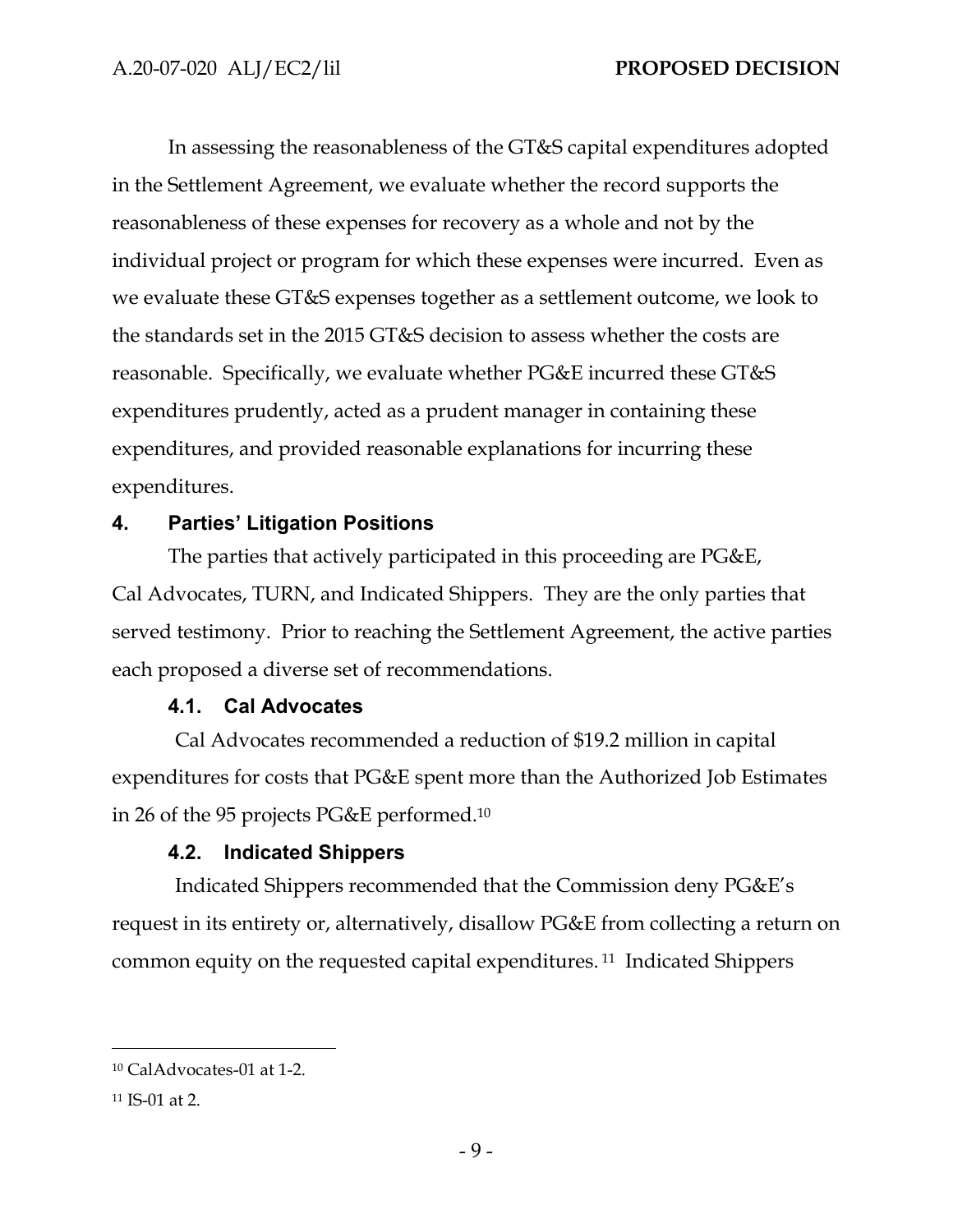In assessing the reasonableness of the GT&S capital expenditures adopted in the Settlement Agreement, we evaluate whether the record supports the reasonableness of these expenses for recovery as a whole and not by the individual project or program for which these expenses were incurred. Even as we evaluate these GT&S expenses together as a settlement outcome, we look to the standards set in the 2015 GT&S decision to assess whether the costs are reasonable. Specifically, we evaluate whether PG&E incurred these GT&S expenditures prudently, acted as a prudent manager in containing these expenditures, and provided reasonable explanations for incurring these expenditures.

## **4. Parties' Litigation Positions**

The parties that actively participated in this proceeding are PG&E, Cal Advocates, TURN, and Indicated Shippers. They are the only parties that served testimony. Prior to reaching the Settlement Agreement, the active parties each proposed a diverse set of recommendations.

## **4.1. Cal Advocates**

Cal Advocates recommended a reduction of \$19.2 million in capital expenditures for costs that PG&E spent more than the Authorized Job Estimates in 26 of the 95 projects PG&E performed.10

## **4.2. Indicated Shippers**

Indicated Shippers recommended that the Commission deny PG&E's request in its entirety or, alternatively, disallow PG&E from collecting a return on common equity on the requested capital expenditures. 11 Indicated Shippers

<sup>10</sup> CalAdvocates-01 at 1-2.

<sup>11</sup> IS-01 at 2.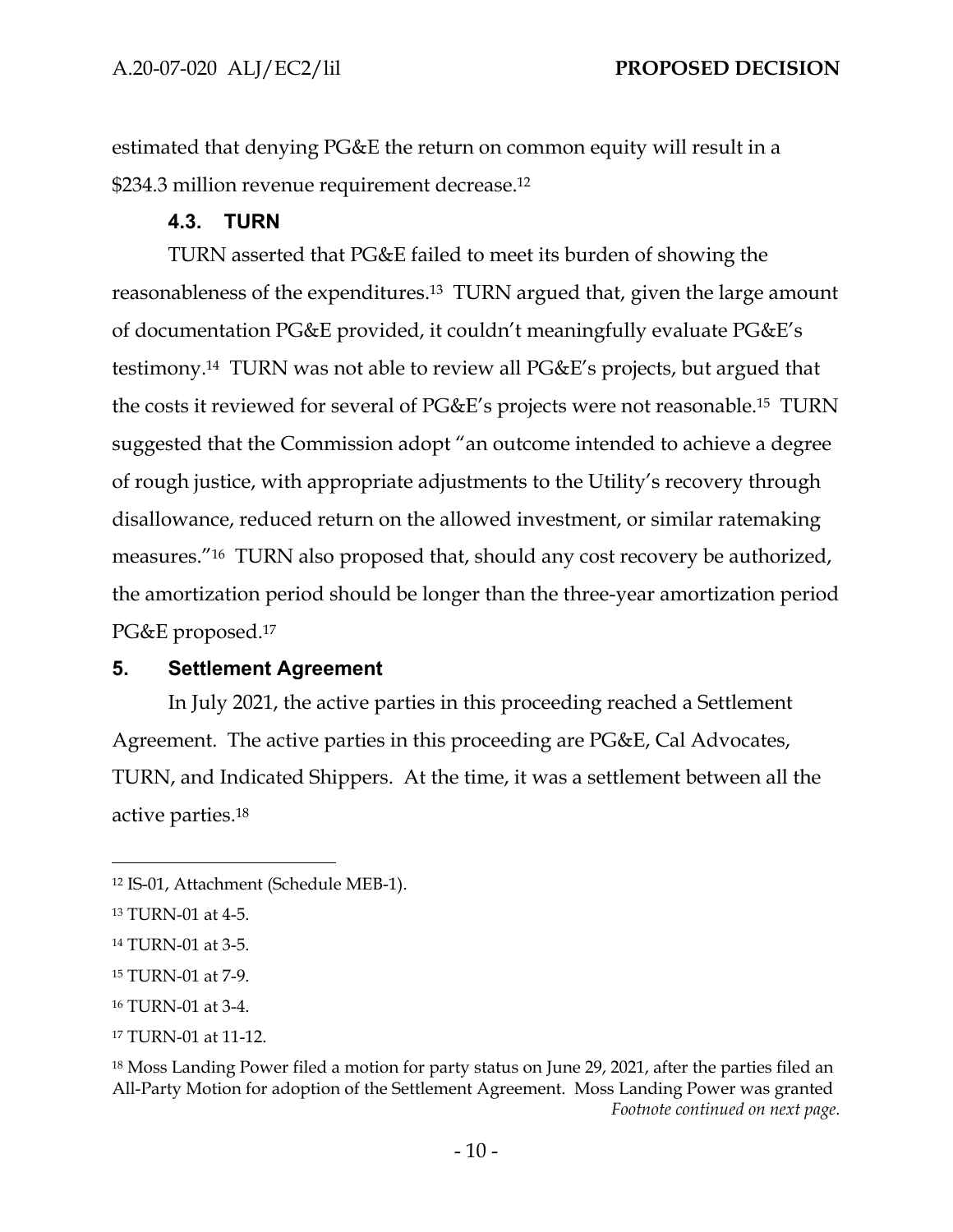estimated that denying PG&E the return on common equity will result in a \$234.3 million revenue requirement decrease.12

### **4.3. TURN**

TURN asserted that PG&E failed to meet its burden of showing the reasonableness of the expenditures.13 TURN argued that, given the large amount of documentation PG&E provided, it couldn't meaningfully evaluate PG&E's testimony.14 TURN was not able to review all PG&E's projects, but argued that the costs it reviewed for several of PG&E's projects were not reasonable.15 TURN suggested that the Commission adopt "an outcome intended to achieve a degree of rough justice, with appropriate adjustments to the Utility's recovery through disallowance, reduced return on the allowed investment, or similar ratemaking measures."16 TURN also proposed that, should any cost recovery be authorized, the amortization period should be longer than the three-year amortization period PG&E proposed.17

#### **5. Settlement Agreement**

In July 2021, the active parties in this proceeding reached a Settlement Agreement. The active parties in this proceeding are PG&E, Cal Advocates, TURN, and Indicated Shippers. At the time, it was a settlement between all the active parties.18

<sup>12</sup> IS-01, Attachment (Schedule MEB-1).

<sup>13</sup> TURN-01 at 4-5.

<sup>14</sup> TURN-01 at 3-5.

<sup>15</sup> TURN-01 at 7-9.

<sup>16</sup> TURN-01 at 3-4.

<sup>17</sup> TURN-01 at 11-12.

<sup>&</sup>lt;sup>18</sup> Moss Landing Power filed a motion for party status on June 29, 2021, after the parties filed an All-Party Motion for adoption of the Settlement Agreement. Moss Landing Power was granted *Footnote continued on next page.*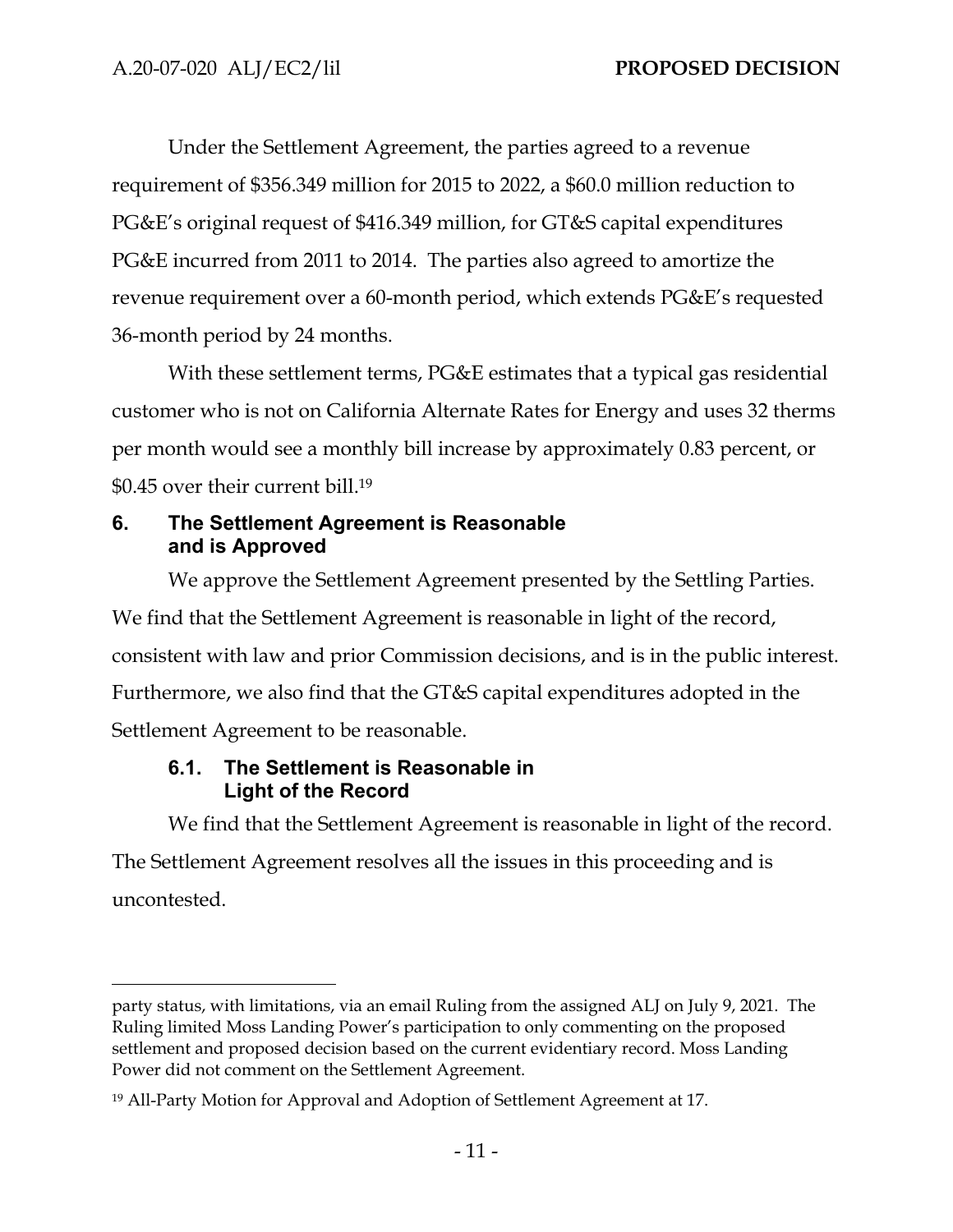Under the Settlement Agreement, the parties agreed to a revenue requirement of \$356.349 million for 2015 to 2022, a \$60.0 million reduction to PG&E's original request of \$416.349 million, for GT&S capital expenditures PG&E incurred from 2011 to 2014. The parties also agreed to amortize the revenue requirement over a 60-month period, which extends PG&E's requested 36-month period by 24 months.

With these settlement terms, PG&E estimates that a typical gas residential customer who is not on California Alternate Rates for Energy and uses 32 therms per month would see a monthly bill increase by approximately 0.83 percent, or \$0.45 over their current bill.19

### **6. The Settlement Agreement is Reasonable and is Approved**

We approve the Settlement Agreement presented by the Settling Parties. We find that the Settlement Agreement is reasonable in light of the record, consistent with law and prior Commission decisions, and is in the public interest. Furthermore, we also find that the GT&S capital expenditures adopted in the Settlement Agreement to be reasonable.

## **6.1. The Settlement is Reasonable in Light of the Record**

We find that the Settlement Agreement is reasonable in light of the record.

The Settlement Agreement resolves all the issues in this proceeding and is uncontested.

party status, with limitations, via an email Ruling from the assigned ALJ on July 9, 2021. The Ruling limited Moss Landing Power's participation to only commenting on the proposed settlement and proposed decision based on the current evidentiary record. Moss Landing Power did not comment on the Settlement Agreement.

<sup>19</sup> All-Party Motion for Approval and Adoption of Settlement Agreement at 17.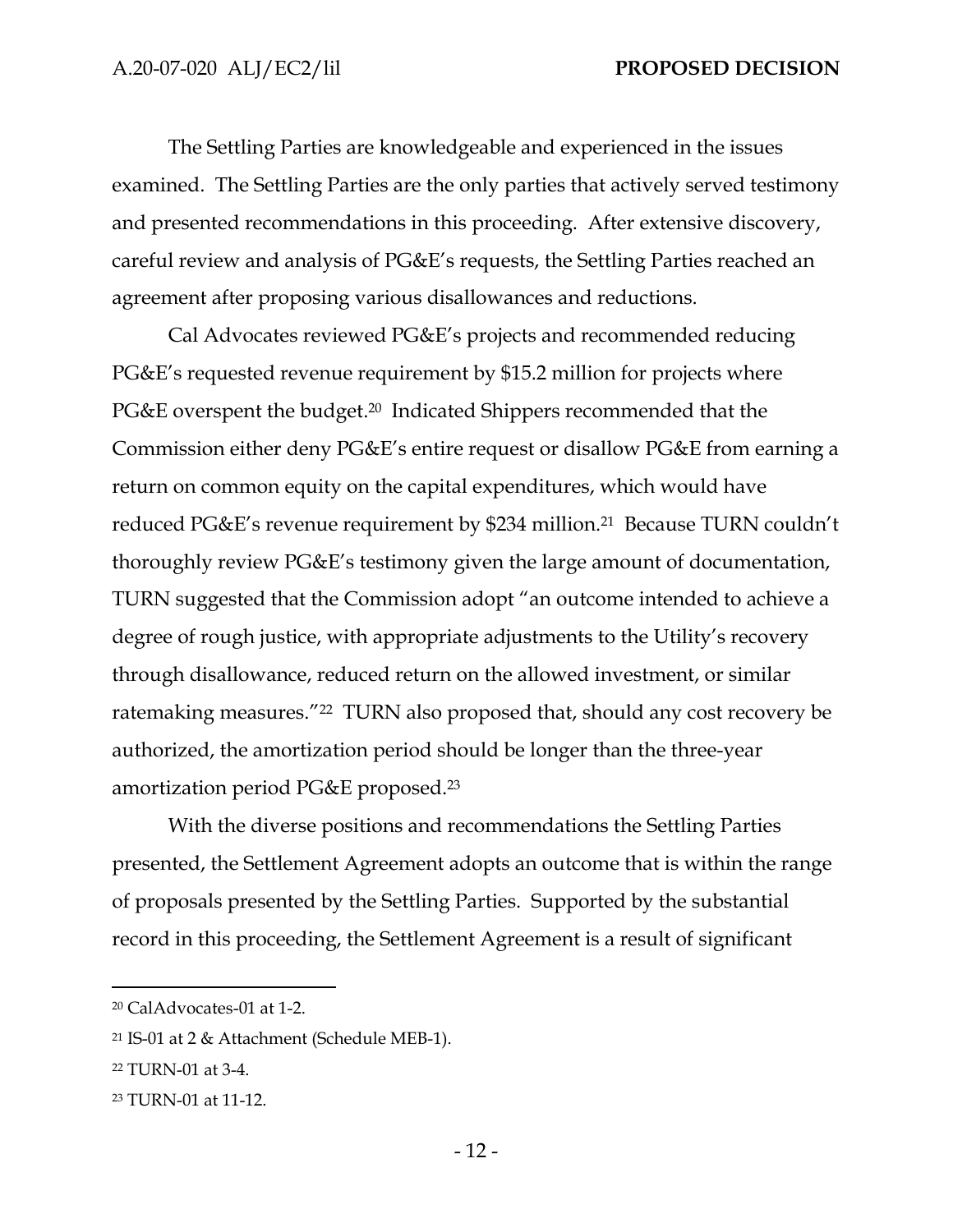The Settling Parties are knowledgeable and experienced in the issues examined. The Settling Parties are the only parties that actively served testimony and presented recommendations in this proceeding. After extensive discovery, careful review and analysis of PG&E's requests, the Settling Parties reached an agreement after proposing various disallowances and reductions.

Cal Advocates reviewed PG&E's projects and recommended reducing PG&E's requested revenue requirement by \$15.2 million for projects where PG&E overspent the budget.<sup>20</sup> Indicated Shippers recommended that the Commission either deny PG&E's entire request or disallow PG&E from earning a return on common equity on the capital expenditures, which would have reduced PG&E's revenue requirement by \$234 million.21 Because TURN couldn't thoroughly review PG&E's testimony given the large amount of documentation, TURN suggested that the Commission adopt "an outcome intended to achieve a degree of rough justice, with appropriate adjustments to the Utility's recovery through disallowance, reduced return on the allowed investment, or similar ratemaking measures."22 TURN also proposed that, should any cost recovery be authorized, the amortization period should be longer than the three-year amortization period PG&E proposed.23

With the diverse positions and recommendations the Settling Parties presented, the Settlement Agreement adopts an outcome that is within the range of proposals presented by the Settling Parties. Supported by the substantial record in this proceeding, the Settlement Agreement is a result of significant

<sup>20</sup> CalAdvocates-01 at 1-2.

<sup>21</sup> IS-01 at 2 & Attachment (Schedule MEB-1).

<sup>22</sup> TURN-01 at 3-4.

<sup>23</sup> TURN-01 at 11-12.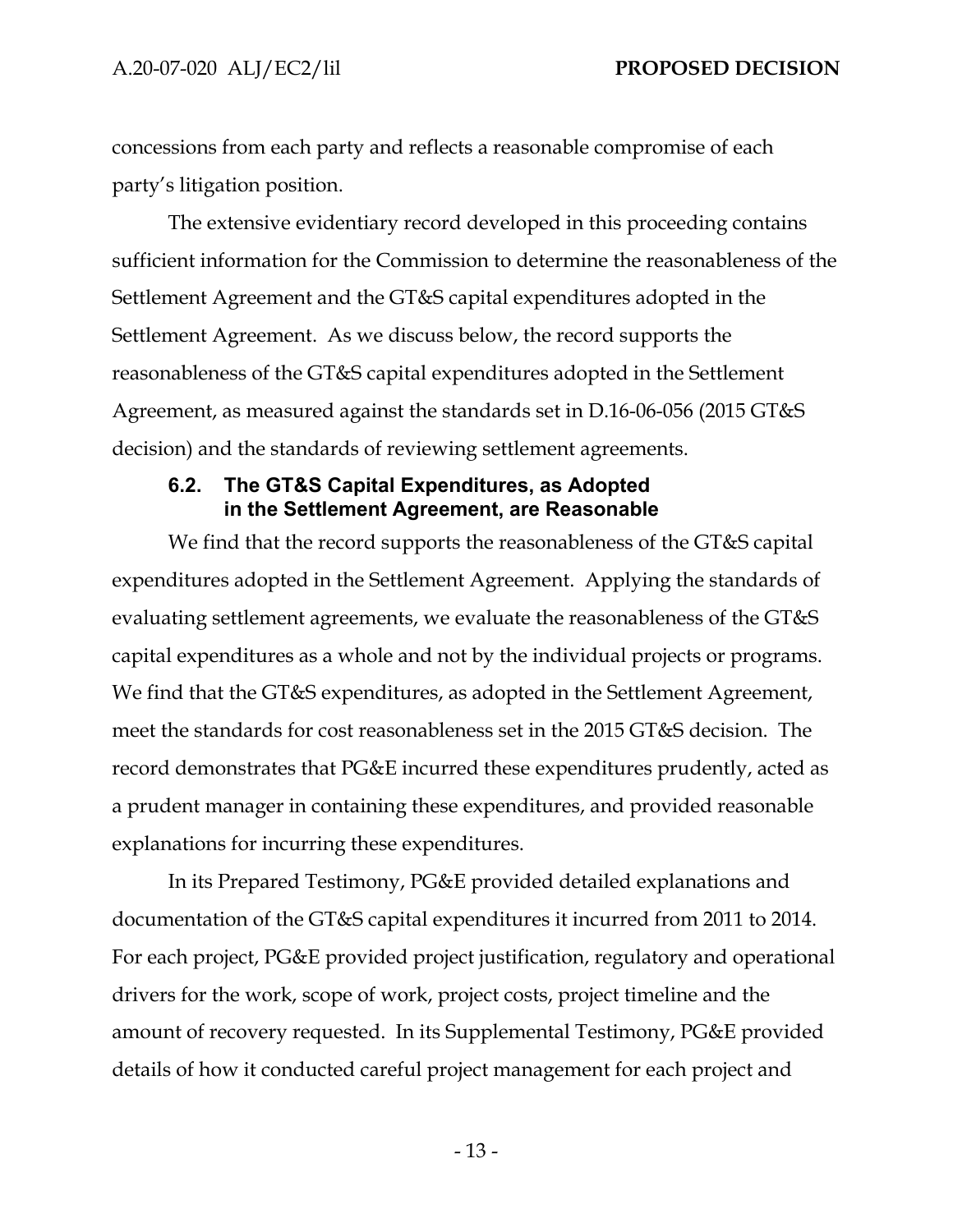concessions from each party and reflects a reasonable compromise of each party's litigation position.

The extensive evidentiary record developed in this proceeding contains sufficient information for the Commission to determine the reasonableness of the Settlement Agreement and the GT&S capital expenditures adopted in the Settlement Agreement. As we discuss below, the record supports the reasonableness of the GT&S capital expenditures adopted in the Settlement Agreement, as measured against the standards set in D.16-06-056 (2015 GT&S decision) and the standards of reviewing settlement agreements.

#### **6.2. The GT&S Capital Expenditures, as Adopted in the Settlement Agreement, are Reasonable**

We find that the record supports the reasonableness of the GT&S capital expenditures adopted in the Settlement Agreement. Applying the standards of evaluating settlement agreements, we evaluate the reasonableness of the GT&S capital expenditures as a whole and not by the individual projects or programs. We find that the GT&S expenditures, as adopted in the Settlement Agreement, meet the standards for cost reasonableness set in the 2015 GT&S decision. The record demonstrates that PG&E incurred these expenditures prudently, acted as a prudent manager in containing these expenditures, and provided reasonable explanations for incurring these expenditures.

In its Prepared Testimony, PG&E provided detailed explanations and documentation of the GT&S capital expenditures it incurred from 2011 to 2014. For each project, PG&E provided project justification, regulatory and operational drivers for the work, scope of work, project costs, project timeline and the amount of recovery requested. In its Supplemental Testimony, PG&E provided details of how it conducted careful project management for each project and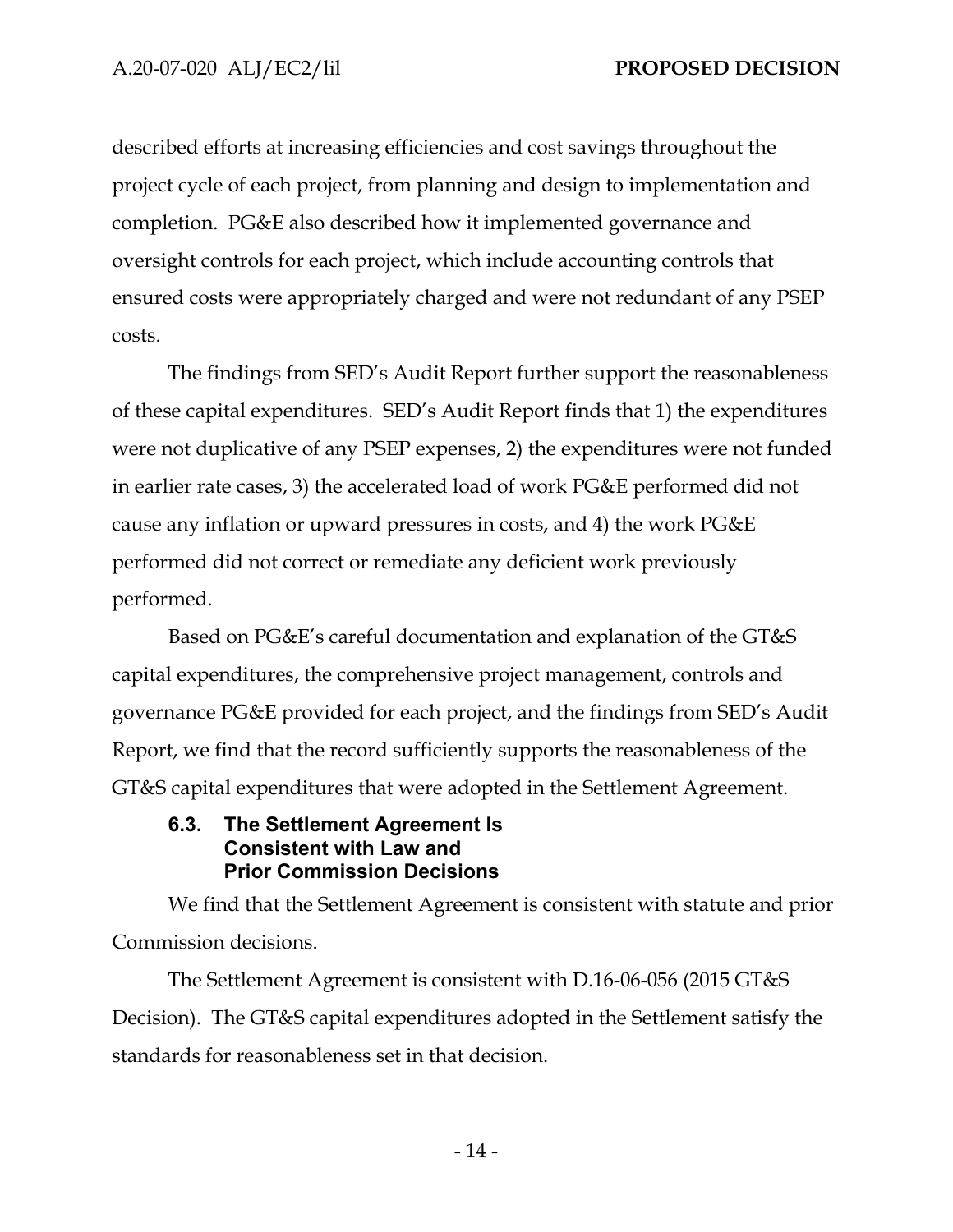described efforts at increasing efficiencies and cost savings throughout the project cycle of each project, from planning and design to implementation and completion. PG&E also described how it implemented governance and oversight controls for each project, which include accounting controls that ensured costs were appropriately charged and were not redundant of any PSEP costs.

The findings from SED's Audit Report further support the reasonableness of these capital expenditures. SED's Audit Report finds that 1) the expenditures were not duplicative of any PSEP expenses, 2) the expenditures were not funded in earlier rate cases, 3) the accelerated load of work PG&E performed did not cause any inflation or upward pressures in costs, and 4) the work PG&E performed did not correct or remediate any deficient work previously performed.

Based on PG&E's careful documentation and explanation of the GT&S capital expenditures, the comprehensive project management, controls and governance PG&E provided for each project, and the findings from SED's Audit Report, we find that the record sufficiently supports the reasonableness of the GT&S capital expenditures that were adopted in the Settlement Agreement.

### **6.3. The Settlement Agreement Is Consistent with Law and Prior Commission Decisions**

We find that the Settlement Agreement is consistent with statute and prior Commission decisions.

The Settlement Agreement is consistent with D.16-06-056 (2015 GT&S Decision). The GT&S capital expenditures adopted in the Settlement satisfy the standards for reasonableness set in that decision.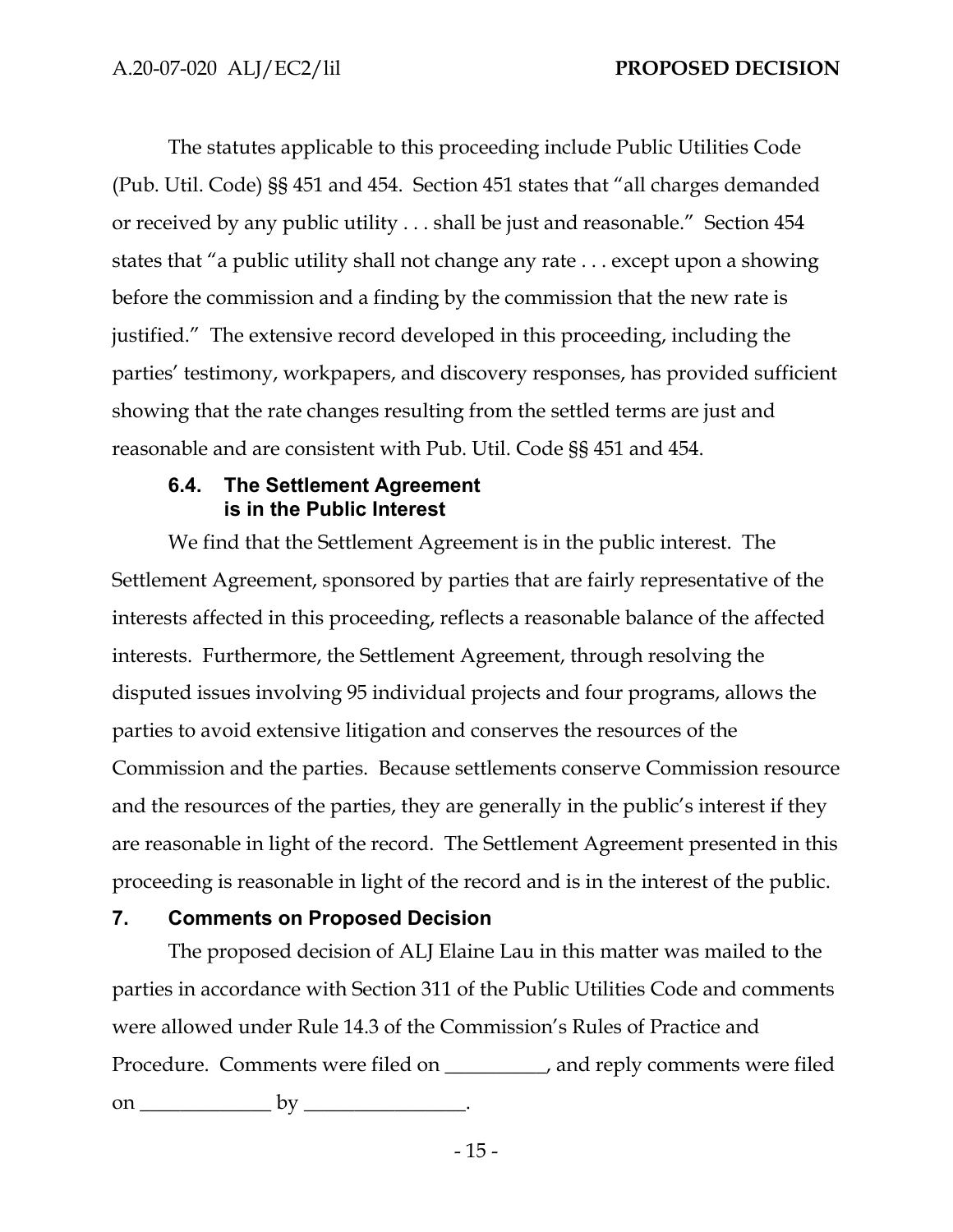The statutes applicable to this proceeding include Public Utilities Code (Pub. Util. Code) §§ 451 and 454. Section 451 states that "all charges demanded or received by any public utility . . . shall be just and reasonable." Section 454 states that "a public utility shall not change any rate . . . except upon a showing before the commission and a finding by the commission that the new rate is justified." The extensive record developed in this proceeding, including the parties' testimony, workpapers, and discovery responses, has provided sufficient showing that the rate changes resulting from the settled terms are just and reasonable and are consistent with Pub. Util. Code §§ 451 and 454.

### **6.4. The Settlement Agreement is in the Public Interest**

We find that the Settlement Agreement is in the public interest. The Settlement Agreement, sponsored by parties that are fairly representative of the interests affected in this proceeding, reflects a reasonable balance of the affected interests. Furthermore, the Settlement Agreement, through resolving the disputed issues involving 95 individual projects and four programs, allows the parties to avoid extensive litigation and conserves the resources of the Commission and the parties. Because settlements conserve Commission resource and the resources of the parties, they are generally in the public's interest if they are reasonable in light of the record. The Settlement Agreement presented in this proceeding is reasonable in light of the record and is in the interest of the public.

## **7. Comments on Proposed Decision**

The proposed decision of ALJ Elaine Lau in this matter was mailed to the parties in accordance with Section 311 of the Public Utilities Code and comments were allowed under Rule 14.3 of the Commission's Rules of Practice and Procedure. Comments were filed on \_\_\_\_\_\_\_\_\_\_, and reply comments were filed on \_\_\_\_\_\_\_\_\_\_\_\_\_ by \_\_\_\_\_\_\_\_\_\_\_\_\_\_\_\_.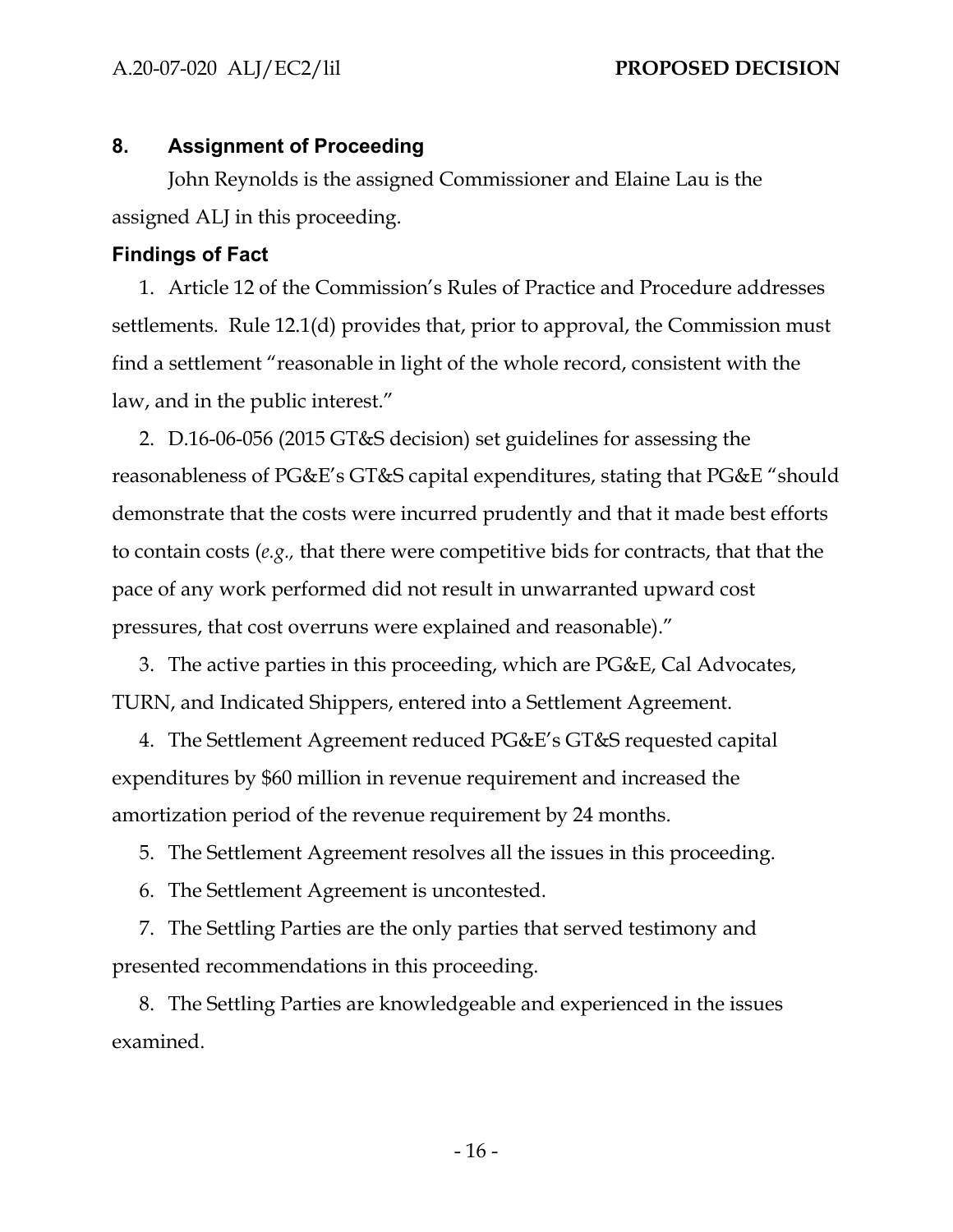#### **8. Assignment of Proceeding**

John Reynolds is the assigned Commissioner and Elaine Lau is the assigned ALJ in this proceeding.

#### **Findings of Fact**

1. Article 12 of the Commission's Rules of Practice and Procedure addresses settlements. Rule 12.1(d) provides that, prior to approval, the Commission must find a settlement "reasonable in light of the whole record, consistent with the law, and in the public interest."

2. D.16-06-056 (2015 GT&S decision) set guidelines for assessing the reasonableness of PG&E's GT&S capital expenditures, stating that PG&E "should demonstrate that the costs were incurred prudently and that it made best efforts to contain costs (*e.g.,* that there were competitive bids for contracts, that that the pace of any work performed did not result in unwarranted upward cost pressures, that cost overruns were explained and reasonable)."

3. The active parties in this proceeding, which are PG&E, Cal Advocates, TURN, and Indicated Shippers, entered into a Settlement Agreement.

4. The Settlement Agreement reduced PG&E's GT&S requested capital expenditures by \$60 million in revenue requirement and increased the amortization period of the revenue requirement by 24 months.

5. The Settlement Agreement resolves all the issues in this proceeding.

6. The Settlement Agreement is uncontested.

7. The Settling Parties are the only parties that served testimony and presented recommendations in this proceeding.

8. The Settling Parties are knowledgeable and experienced in the issues examined.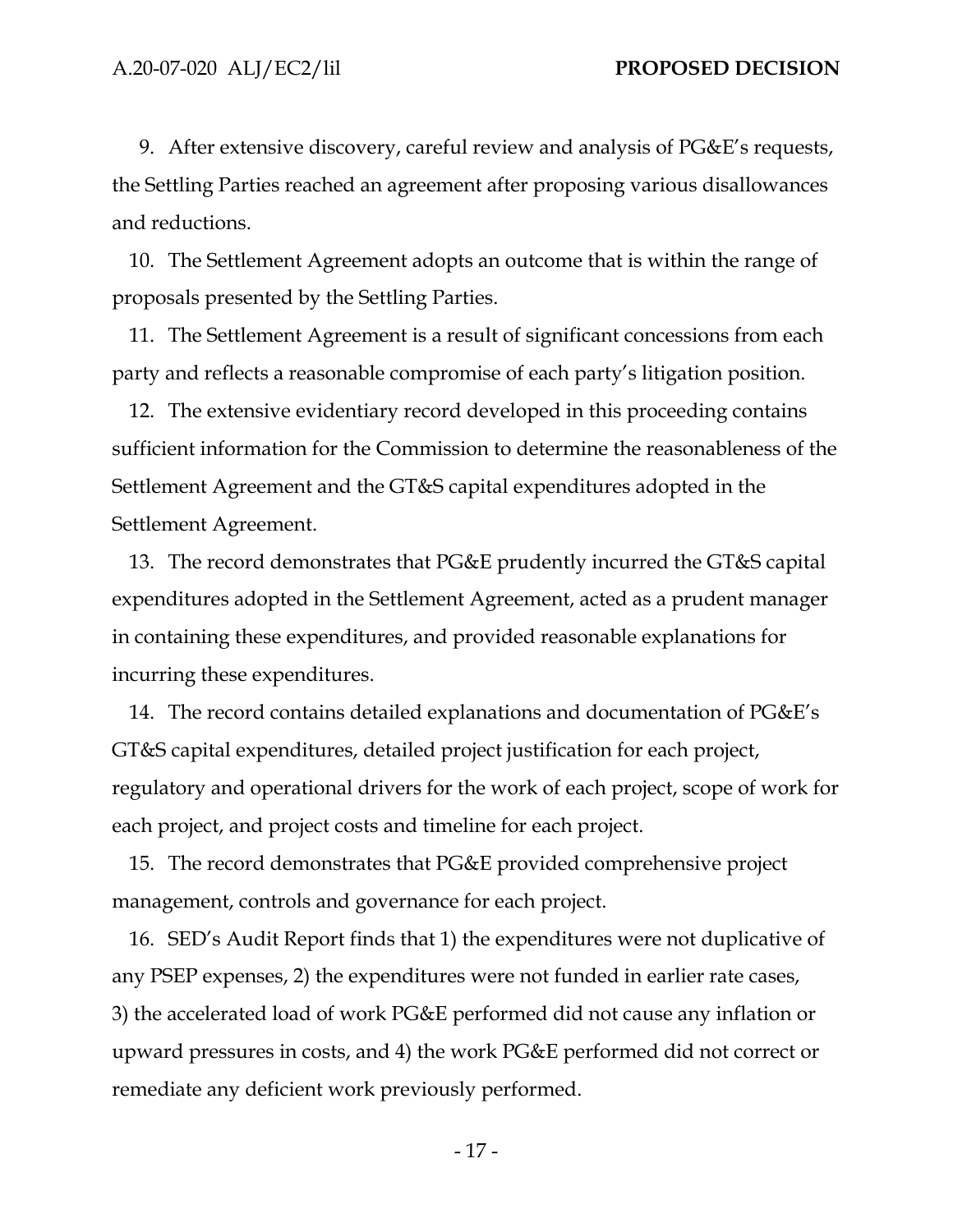9. After extensive discovery, careful review and analysis of PG&E's requests, the Settling Parties reached an agreement after proposing various disallowances and reductions.

10. The Settlement Agreement adopts an outcome that is within the range of proposals presented by the Settling Parties.

11. The Settlement Agreement is a result of significant concessions from each party and reflects a reasonable compromise of each party's litigation position.

12. The extensive evidentiary record developed in this proceeding contains sufficient information for the Commission to determine the reasonableness of the Settlement Agreement and the GT&S capital expenditures adopted in the Settlement Agreement.

13. The record demonstrates that PG&E prudently incurred the GT&S capital expenditures adopted in the Settlement Agreement, acted as a prudent manager in containing these expenditures, and provided reasonable explanations for incurring these expenditures.

14. The record contains detailed explanations and documentation of PG&E's GT&S capital expenditures, detailed project justification for each project, regulatory and operational drivers for the work of each project, scope of work for each project, and project costs and timeline for each project.

15. The record demonstrates that PG&E provided comprehensive project management, controls and governance for each project.

16. SED's Audit Report finds that 1) the expenditures were not duplicative of any PSEP expenses, 2) the expenditures were not funded in earlier rate cases, 3) the accelerated load of work PG&E performed did not cause any inflation or upward pressures in costs, and 4) the work PG&E performed did not correct or remediate any deficient work previously performed.

- 17 -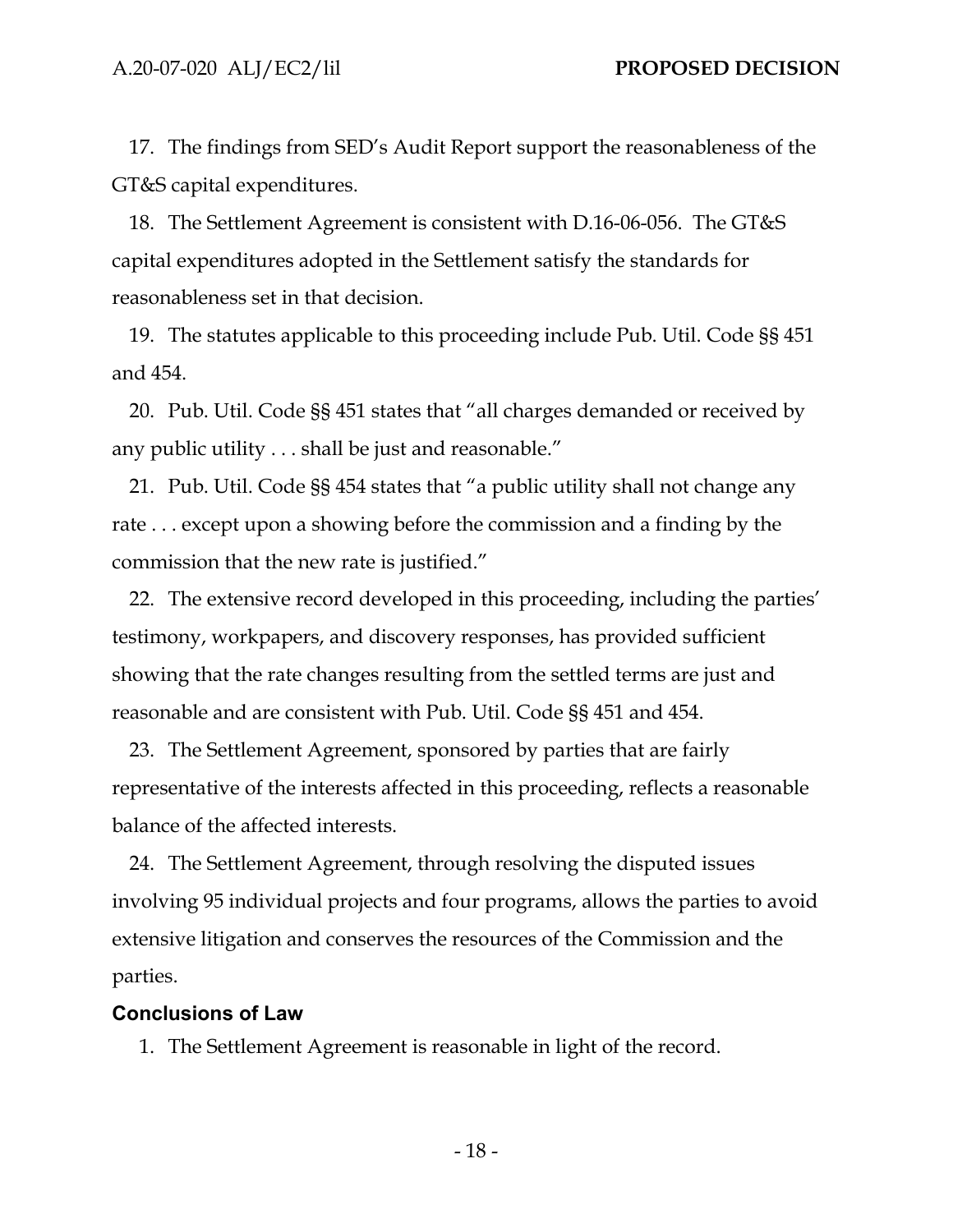17. The findings from SED's Audit Report support the reasonableness of the GT&S capital expenditures.

18. The Settlement Agreement is consistent with D.16-06-056. The GT&S capital expenditures adopted in the Settlement satisfy the standards for reasonableness set in that decision.

19. The statutes applicable to this proceeding include Pub. Util. Code §§ 451 and 454.

20. Pub. Util. Code §§ 451 states that "all charges demanded or received by any public utility . . . shall be just and reasonable."

21. Pub. Util. Code §§ 454 states that "a public utility shall not change any rate . . . except upon a showing before the commission and a finding by the commission that the new rate is justified."

22. The extensive record developed in this proceeding, including the parties' testimony, workpapers, and discovery responses, has provided sufficient showing that the rate changes resulting from the settled terms are just and reasonable and are consistent with Pub. Util. Code §§ 451 and 454.

23. The Settlement Agreement, sponsored by parties that are fairly representative of the interests affected in this proceeding, reflects a reasonable balance of the affected interests.

24. The Settlement Agreement, through resolving the disputed issues involving 95 individual projects and four programs, allows the parties to avoid extensive litigation and conserves the resources of the Commission and the parties.

#### **Conclusions of Law**

1. The Settlement Agreement is reasonable in light of the record.